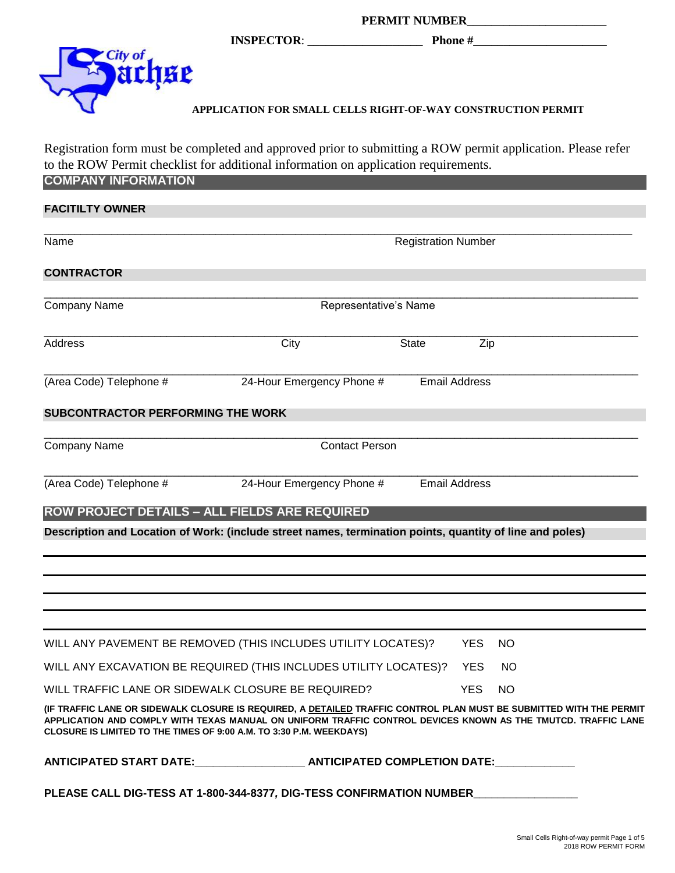|          | <b>PERMIT NUMBER</b> |                                                              |  |
|----------|----------------------|--------------------------------------------------------------|--|
|          | <b>INSPECTOR:</b>    | <b>Phone</b> #                                               |  |
| 'City of |                      |                                                              |  |
|          |                      | APPLICATION FOR SMALL CELLS RIGHT-OF-WAY CONSTRUCTION PERMIT |  |

## **APPLICATION FOR SMALL CELLS RIGHT-OF-WAY CONSTRUCTION PERMIT**

Registration form must be completed and approved prior to submitting a ROW permit application. Please refer to the ROW Permit checklist for additional information on application requirements. **COMPANY INFORMATION**

| <b>FACITILTY OWNER</b>                                                                                                                                                                                                                                                                                      |                            |                      |            |           |
|-------------------------------------------------------------------------------------------------------------------------------------------------------------------------------------------------------------------------------------------------------------------------------------------------------------|----------------------------|----------------------|------------|-----------|
| Name                                                                                                                                                                                                                                                                                                        | <b>Registration Number</b> |                      |            |           |
| <b>CONTRACTOR</b>                                                                                                                                                                                                                                                                                           |                            |                      |            |           |
| <b>Company Name</b>                                                                                                                                                                                                                                                                                         | Representative's Name      |                      |            |           |
| Address                                                                                                                                                                                                                                                                                                     | City                       | <b>State</b>         | Zip        |           |
| (Area Code) Telephone #                                                                                                                                                                                                                                                                                     | 24-Hour Emergency Phone #  | <b>Email Address</b> |            |           |
| <b>SUBCONTRACTOR PERFORMING THE WORK</b>                                                                                                                                                                                                                                                                    |                            |                      |            |           |
| <b>Company Name</b>                                                                                                                                                                                                                                                                                         | <b>Contact Person</b>      |                      |            |           |
| (Area Code) Telephone #                                                                                                                                                                                                                                                                                     | 24-Hour Emergency Phone #  | <b>Email Address</b> |            |           |
| <b>ROW PROJECT DETAILS - ALL FIELDS ARE REQUIRED</b>                                                                                                                                                                                                                                                        |                            |                      |            |           |
| Description and Location of Work: (include street names, termination points, quantity of line and poles)                                                                                                                                                                                                    |                            |                      |            |           |
|                                                                                                                                                                                                                                                                                                             |                            |                      |            |           |
|                                                                                                                                                                                                                                                                                                             |                            |                      |            |           |
|                                                                                                                                                                                                                                                                                                             |                            |                      |            |           |
|                                                                                                                                                                                                                                                                                                             |                            |                      |            |           |
| WILL ANY PAVEMENT BE REMOVED (THIS INCLUDES UTILITY LOCATES)?                                                                                                                                                                                                                                               |                            |                      | <b>YES</b> | NO        |
| WILL ANY EXCAVATION BE REQUIRED (THIS INCLUDES UTILITY LOCATES)?                                                                                                                                                                                                                                            |                            |                      | <b>YES</b> | NO.       |
| WILL TRAFFIC LANE OR SIDEWALK CLOSURE BE REQUIRED?                                                                                                                                                                                                                                                          |                            |                      | <b>YES</b> | <b>NO</b> |
| (IF TRAFFIC LANE OR SIDEWALK CLOSURE IS REQUIRED, A DETAILED TRAFFIC CONTROL PLAN MUST BE SUBMITTED WITH THE PERMIT<br>APPLICATION AND COMPLY WITH TEXAS MANUAL ON UNIFORM TRAFFIC CONTROL DEVICES KNOWN AS THE TMUTCD. TRAFFIC LANE<br>CLOSURE IS LIMITED TO THE TIMES OF 9:00 A.M. TO 3:30 P.M. WEEKDAYS) |                            |                      |            |           |
| ANTICIPATED START DATE:________________________ANTICIPATED COMPLETION DATE:                                                                                                                                                                                                                                 |                            |                      |            |           |
| PLEASE CALL DIG-TESS AT 1-800-344-8377, DIG-TESS CONFIRMATION NUMBER_____________                                                                                                                                                                                                                           |                            |                      |            |           |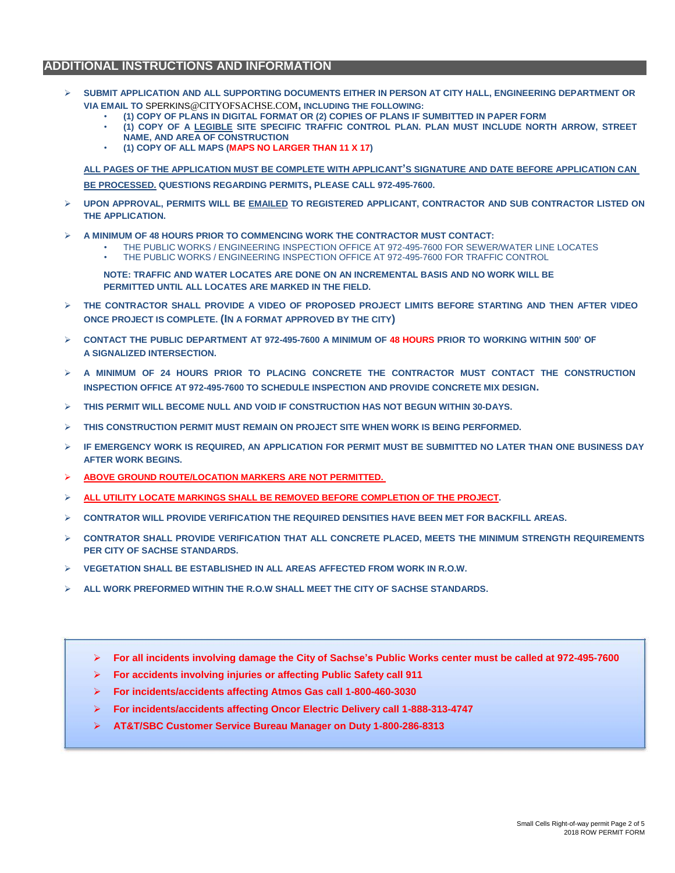### **ADDITIONAL INSTRUCTIONS AND INFORMATION**

- **SUBMIT APPLICATION AND ALL SUPPORTING DOCUMENTS EITHER IN PERSON AT CITY HALL, ENGINEERING DEPARTMENT OR VIA EMAIL TO** SPERKINS@CITYOFSACHSE.COM**, INCLUDING THE FOLLOWING:**
	- **(1) COPY OF PLANS IN DIGITAL FORMAT OR (2) COPIES OF PLANS IF SUMBITTED IN PAPER FORM**
	- **(1) COPY OF A LEGIBLE SITE SPECIFIC TRAFFIC CONTROL PLAN. PLAN MUST INCLUDE NORTH ARROW, STREET NAME, AND AREA OF CONSTRUCTION**
	- **(1) COPY OF ALL MAPS (MAPS NO LARGER THAN 11 X 17)**

**ALL PAGES OF THE APPLICATION MUST BE COMPLETE WITH APPLICANT'S SIGNATURE AND DATE BEFORE APPLICATION CAN BE PROCESSED. QUESTIONS REGARDING PERMITS, PLEASE CALL 972-495-7600.**

- **UPON APPROVAL, PERMITS WILL BE EMAILED TO REGISTERED APPLICANT, CONTRACTOR AND SUB CONTRACTOR LISTED ON THE APPLICATION.**
- **A MINIMUM OF 48 HOURS PRIOR TO COMMENCING WORK THE CONTRACTOR MUST CONTACT:** 
	- THE PUBLIC WORKS / ENGINEERING INSPECTION OFFICE AT 972-495-7600 FOR SEWER/WATER LINE LOCATES
	- THE PUBLIC WORKS / ENGINEERING INSPECTION OFFICE AT 972-495-7600 FOR TRAFFIC CONTROL

**NOTE: TRAFFIC AND WATER LOCATES ARE DONE ON AN INCREMENTAL BASIS AND NO WORK WILL BE PERMITTED UNTIL ALL LOCATES ARE MARKED IN THE FIELD.**

- **THE CONTRACTOR SHALL PROVIDE A VIDEO OF PROPOSED PROJECT LIMITS BEFORE STARTING AND THEN AFTER VIDEO ONCE PROJECT IS COMPLETE. (IN A FORMAT APPROVED BY THE CITY)**
- **CONTACT THE PUBLIC DEPARTMENT AT 972-495-7600 A MINIMUM OF 48 HOURS PRIOR TO WORKING WITHIN 500' OF A SIGNALIZED INTERSECTION.**
- $\triangleright$  A minimum of 24 Hours prior to placing concrete the contractor must contact the construction **INSPECTION OFFICE AT 972-495-7600 TO SCHEDULE INSPECTION AND PROVIDE CONCRETE MIX DESIGN.**
- **THIS PERMIT WILL BECOME NULL AND VOID IF CONSTRUCTION HAS NOT BEGUN WITHIN 30-DAYS.**
- **THIS CONSTRUCTION PERMIT MUST REMAIN ON PROJECT SITE WHEN WORK IS BEING PERFORMED.**
- **IF EMERGENCY WORK IS REQUIRED, AN APPLICATION FOR PERMIT MUST BE SUBMITTED NO LATER THAN ONE BUSINESS DAY AFTER WORK BEGINS.**
- **ABOVE GROUND ROUTE/LOCATION MARKERS ARE NOT PERMITTED.**
- **ALL UTILITY LOCATE MARKINGS SHALL BE REMOVED BEFORE COMPLETION OF THE PROJECT.**
- **CONTRATOR WILL PROVIDE VERIFICATION THE REQUIRED DENSITIES HAVE BEEN MET FOR BACKFILL AREAS.**
- **CONTRATOR SHALL PROVIDE VERIFICATION THAT ALL CONCRETE PLACED, MEETS THE MINIMUM STRENGTH REQUIREMENTS PER CITY OF SACHSE STANDARDS.**
- **VEGETATION SHALL BE ESTABLISHED IN ALL AREAS AFFECTED FROM WORK IN R.O.W.**
- **ALL WORK PREFORMED WITHIN THE R.O.W SHALL MEET THE CITY OF SACHSE STANDARDS.** 
	- **For all incidents involving damage the City of Sachse's Public Works center must be called at 972-495-7600**
	- **For accidents involving injuries or affecting Public Safety call 911**
	- **For incidents/accidents affecting Atmos Gas call 1-800-460-3030**
	- **For incidents/accidents affecting Oncor Electric Delivery call 1-888-313-4747**
	- **AT&T/SBC Customer Service Bureau Manager on Duty 1-800-286-8313**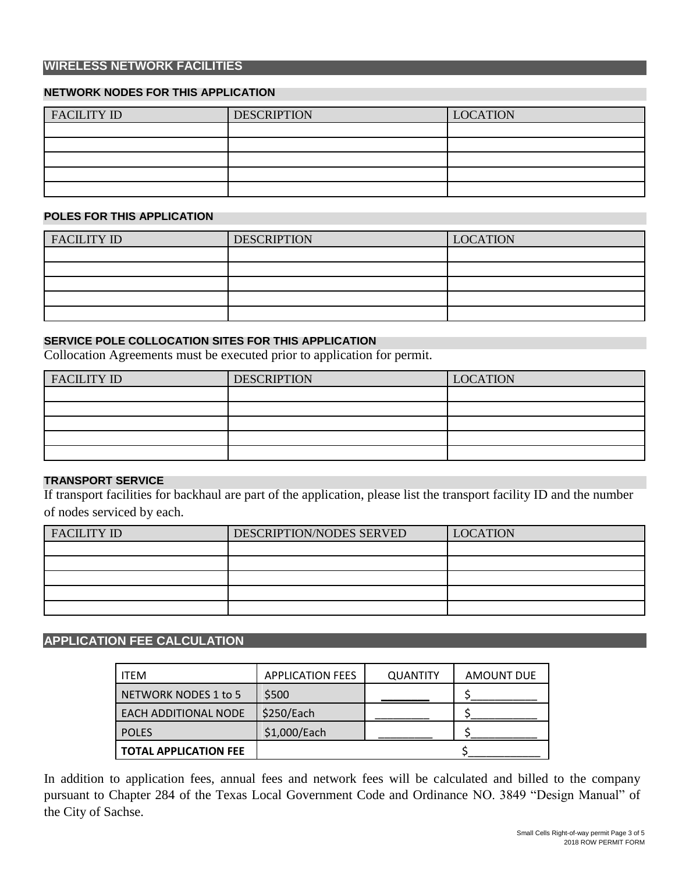### **WIRELESS NETWORK FACILITIES**

#### **NETWORK NODES FOR THIS APPLICATION**

| <b>FACILITY ID</b> | <b>DESCRIPTION</b> | <b>LOCATION</b> |
|--------------------|--------------------|-----------------|
|                    |                    |                 |
|                    |                    |                 |
|                    |                    |                 |
|                    |                    |                 |
|                    |                    |                 |

#### **POLES FOR THIS APPLICATION**

| <b>FACILITY ID</b> | <b>DESCRIPTION</b> | <b>LOCATION</b> |
|--------------------|--------------------|-----------------|
|                    |                    |                 |
|                    |                    |                 |
|                    |                    |                 |
|                    |                    |                 |
|                    |                    |                 |

#### **SERVICE POLE COLLOCATION SITES FOR THIS APPLICATION**

Collocation Agreements must be executed prior to application for permit.

| <b>FACILITY ID</b> | <b>DESCRIPTION</b> | <b>LOCATION</b> |
|--------------------|--------------------|-----------------|
|                    |                    |                 |
|                    |                    |                 |
|                    |                    |                 |
|                    |                    |                 |
|                    |                    |                 |

### **TRANSPORT SERVICE**

If transport facilities for backhaul are part of the application, please list the transport facility ID and the number of nodes serviced by each.

| <b>FACILITY ID</b> | DESCRIPTION/NODES SERVED | <b>LOCATION</b> |
|--------------------|--------------------------|-----------------|
|                    |                          |                 |
|                    |                          |                 |
|                    |                          |                 |
|                    |                          |                 |
|                    |                          |                 |

### **APPLICATION FEE CALCULATION**

| <b>ITEM</b>                  | <b>APPLICATION FEES</b> | <b>QUANTITY</b> | <b>AMOUNT DUE</b> |
|------------------------------|-------------------------|-----------------|-------------------|
| NETWORK NODES 1 to 5         | \$500                   |                 |                   |
| <b>EACH ADDITIONAL NODE</b>  | \$250/Each              |                 |                   |
| <b>POLES</b>                 | \$1,000/Each            |                 |                   |
| <b>TOTAL APPLICATION FEE</b> |                         |                 |                   |

In addition to application fees, annual fees and network fees will be calculated and billed to the company pursuant to Chapter 284 of the Texas Local Government Code and Ordinance NO. 3849 "Design Manual" of the City of Sachse.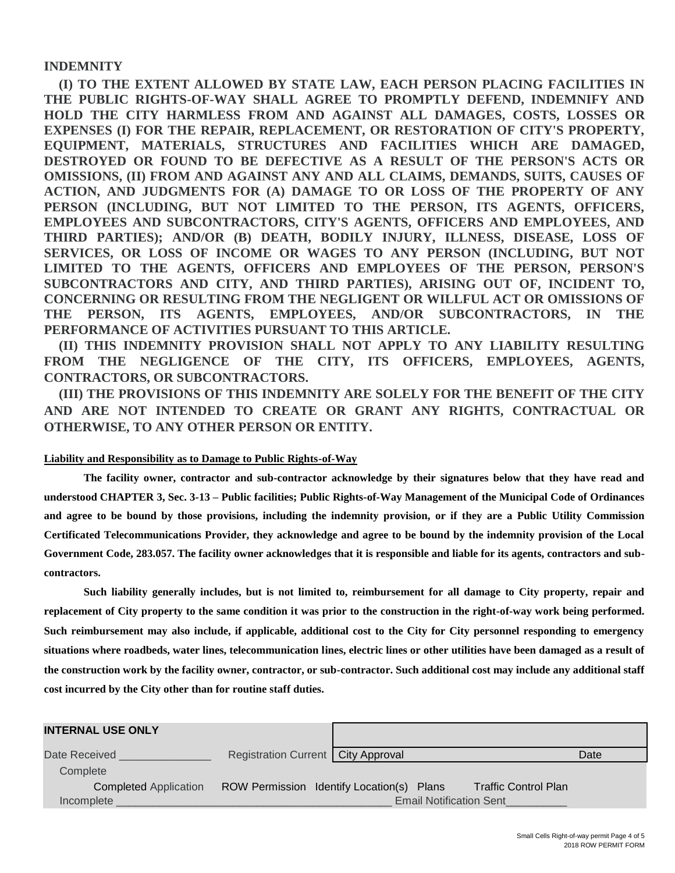#### **INDEMNITY**

**(I) TO THE EXTENT ALLOWED BY STATE LAW, EACH PERSON PLACING FACILITIES IN THE PUBLIC RIGHTS-OF-WAY SHALL AGREE TO PROMPTLY DEFEND, INDEMNIFY AND HOLD THE CITY HARMLESS FROM AND AGAINST ALL DAMAGES, COSTS, LOSSES OR EXPENSES (I) FOR THE REPAIR, REPLACEMENT, OR RESTORATION OF CITY'S PROPERTY, EQUIPMENT, MATERIALS, STRUCTURES AND FACILITIES WHICH ARE DAMAGED, DESTROYED OR FOUND TO BE DEFECTIVE AS A RESULT OF THE PERSON'S ACTS OR OMISSIONS, (II) FROM AND AGAINST ANY AND ALL CLAIMS, DEMANDS, SUITS, CAUSES OF ACTION, AND JUDGMENTS FOR (A) DAMAGE TO OR LOSS OF THE PROPERTY OF ANY PERSON (INCLUDING, BUT NOT LIMITED TO THE PERSON, ITS AGENTS, OFFICERS, EMPLOYEES AND SUBCONTRACTORS, CITY'S AGENTS, OFFICERS AND EMPLOYEES, AND THIRD PARTIES); AND/OR (B) DEATH, BODILY INJURY, ILLNESS, DISEASE, LOSS OF SERVICES, OR LOSS OF INCOME OR WAGES TO ANY PERSON (INCLUDING, BUT NOT LIMITED TO THE AGENTS, OFFICERS AND EMPLOYEES OF THE PERSON, PERSON'S SUBCONTRACTORS AND CITY, AND THIRD PARTIES), ARISING OUT OF, INCIDENT TO, CONCERNING OR RESULTING FROM THE NEGLIGENT OR WILLFUL ACT OR OMISSIONS OF THE PERSON, ITS AGENTS, EMPLOYEES, AND/OR SUBCONTRACTORS, IN THE PERFORMANCE OF ACTIVITIES PURSUANT TO THIS ARTICLE.**

**(II) THIS INDEMNITY PROVISION SHALL NOT APPLY TO ANY LIABILITY RESULTING FROM THE NEGLIGENCE OF THE CITY, ITS OFFICERS, EMPLOYEES, AGENTS, CONTRACTORS, OR SUBCONTRACTORS.**

**(III) THE PROVISIONS OF THIS INDEMNITY ARE SOLELY FOR THE BENEFIT OF THE CITY AND ARE NOT INTENDED TO CREATE OR GRANT ANY RIGHTS, CONTRACTUAL OR OTHERWISE, TO ANY OTHER PERSON OR ENTITY.**

#### **Liability and Responsibility as to Damage to Public Rights-of-Way**

**The facility owner, contractor and sub-contractor acknowledge by their signatures below that they have read and understood CHAPTER 3, Sec. 3-13 – Public facilities; Public Rights-of-Way Management of the Municipal Code of Ordinances and agree to be bound by those provisions, including the indemnity provision, or if they are a Public Utility Commission Certificated Telecommunications Provider, they acknowledge and agree to be bound by the indemnity provision of the Local Government Code, 283.057. The facility owner acknowledges that it is responsible and liable for its agents, contractors and subcontractors.**

**Such liability generally includes, but is not limited to, reimbursement for all damage to City property, repair and replacement of City property to the same condition it was prior to the construction in the right-of-way work being performed. Such reimbursement may also include, if applicable, additional cost to the City for City personnel responding to emergency situations where roadbeds, water lines, telecommunication lines, electric lines or other utilities have been damaged as a result of the construction work by the facility owner, contractor, or sub-contractor. Such additional cost may include any additional staff cost incurred by the City other than for routine staff duties.**

| <b>INTERNAL USE ONLY</b>     |                                      |                                           |                             |      |
|------------------------------|--------------------------------------|-------------------------------------------|-----------------------------|------|
| Date Received                | Registration Current   City Approval |                                           |                             | Date |
| Complete                     |                                      |                                           |                             |      |
| <b>Completed Application</b> |                                      | ROW Permission Identify Location(s) Plans | <b>Traffic Control Plan</b> |      |
| Incomplete                   |                                      | <b>Email Notification Sent</b>            |                             |      |